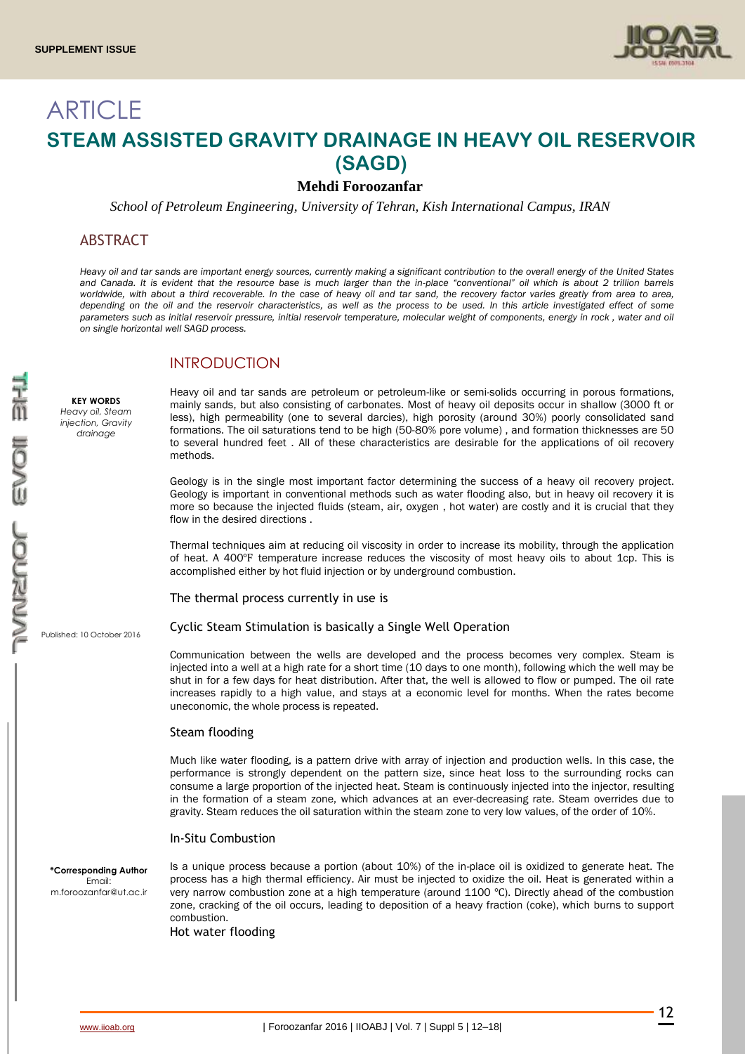

# **ARTICLE STEAM ASSISTED GRAVITY DRAINAGE IN HEAVY OIL RESERVOIR (SAGD)**

# **Mehdi Foroozanfar**

*School of Petroleum Engineering, University of Tehran, Kish International Campus, IRAN*

# ABSTRACT

*Heavy oil and tar sands are important energy sources, currently making a significant contribution to the overall energy of the United States and Canada. It is evident that the resource base is much larger than the in-place "conventional" oil which is about 2 trillion barrels worldwide, with about a third recoverable. In the case of heavy oil and tar sand, the recovery factor varies greatly from area to area, depending on the oil and the reservoir characteristics, as well as the process to be used. In this article investigated effect of some parameters such as initial reservoir pressure, initial reservoir temperature, molecular weight of components, energy in rock , water and oil on single horizontal well SAGD process.*

# INTRODUCTION

**KEY WORDS** *Heavy oil, Steam injection, Gravity drainage* 

Heavy oil and tar sands are petroleum or petroleum-like or semi-solids occurring in porous formations, mainly sands, but also consisting of carbonates. Most of heavy oil deposits occur in shallow (3000 ft or less), high permeability (one to several darcies), high porosity (around 30%) poorly consolidated sand formations. The oil saturations tend to be high (50-80% pore volume) , and formation thicknesses are 50 to several hundred feet . All of these characteristics are desirable for the applications of oil recovery methods.

Geology is in the single most important factor determining the success of a heavy oil recovery project. Geology is important in conventional methods such as water flooding also, but in heavy oil recovery it is more so because the injected fluids (steam, air, oxygen , hot water) are costly and it is crucial that they flow in the desired directions .

Thermal techniques aim at reducing oil viscosity in order to increase its mobility, through the application of heat. A 400°F temperature increase reduces the viscosity of most heavy oils to about 1cp. This is accomplished either by hot fluid injection or by underground combustion.

The thermal process currently in use is

Published: 10 October 2016 Cyclic Steam Stimulation is basically a Single Well Operation

> Communication between the wells are developed and the process becomes very complex. Steam is injected into a well at a high rate for a short time (10 days to one month), following which the well may be shut in for a few days for heat distribution. After that, the well is allowed to flow or pumped. The oil rate increases rapidly to a high value, and stays at a economic level for months. When the rates become uneconomic, the whole process is repeated.

#### Steam flooding

Much like water flooding, is a pattern drive with array of injection and production wells. In this case, the performance is strongly dependent on the pattern size, since heat loss to the surrounding rocks can consume a large proportion of the injected heat. Steam is continuously injected into the injector, resulting in the formation of a steam zone, which advances at an ever-decreasing rate. Steam overrides due to gravity. Steam reduces the oil saturation within the steam zone to very low values, of the order of 10%.

#### In-Situ Combustion

**\*Corresponding Author** Email: m.foroozanfar@ut.ac.ir Is a unique process because a portion (about 10%) of the in-place oil is oxidized to generate heat. The process has a high thermal efficiency. Air must be injected to oxidize the oil. Heat is generated within a very narrow combustion zone at a high temperature (around 1100 ℃). Directly ahead of the combustion zone, cracking of the oil occurs, leading to deposition of a heavy fraction (coke), which burns to support combustion.

Hot water flooding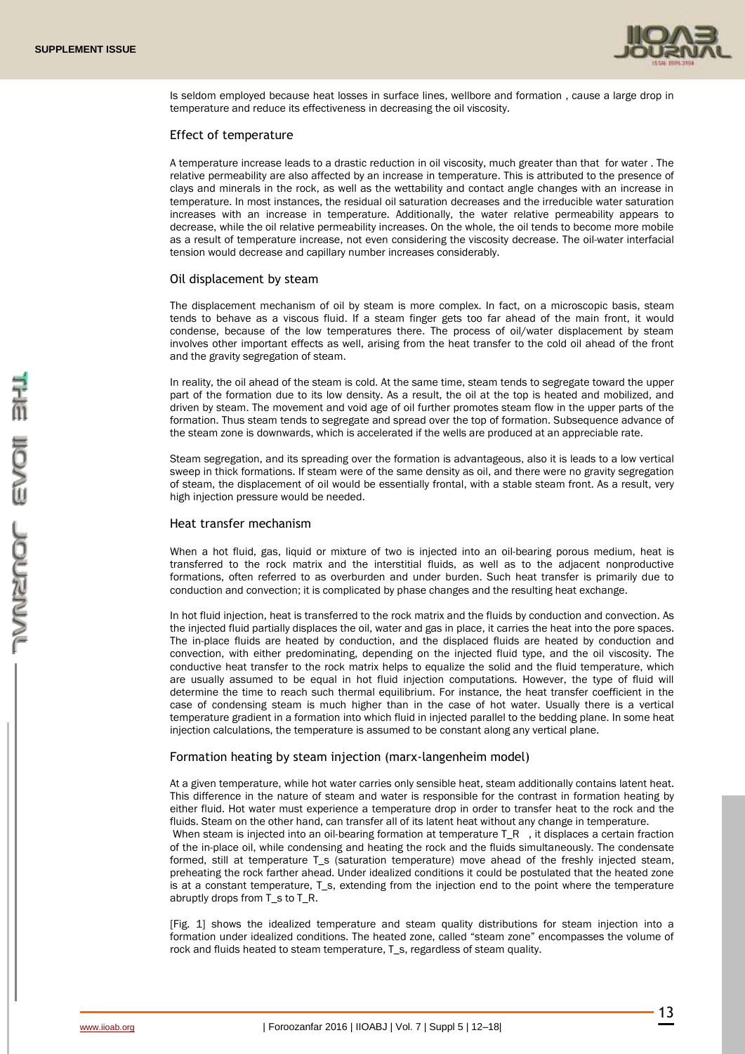

Is seldom employed because heat losses in surface lines, wellbore and formation , cause a large drop in temperature and reduce its effectiveness in decreasing the oil viscosity.

#### Effect of temperature

A temperature increase leads to a drastic reduction in oil viscosity, much greater than that for water . The relative permeability are also affected by an increase in temperature. This is attributed to the presence of clays and minerals in the rock, as well as the wettability and contact angle changes with an increase in temperature. In most instances, the residual oil saturation decreases and the irreducible water saturation increases with an increase in temperature. Additionally, the water relative permeability appears to decrease, while the oil relative permeability increases. On the whole, the oil tends to become more mobile as a result of temperature increase, not even considering the viscosity decrease. The oil-water interfacial tension would decrease and capillary number increases considerably.

#### Oil displacement by steam

The displacement mechanism of oil by steam is more complex. In fact, on a microscopic basis, steam tends to behave as a viscous fluid. If a steam finger gets too far ahead of the main front, it would condense, because of the low temperatures there. The process of oil/water displacement by steam involves other important effects as well, arising from the heat transfer to the cold oil ahead of the front and the gravity segregation of steam.

In reality, the oil ahead of the steam is cold. At the same time, steam tends to segregate toward the upper part of the formation due to its low density. As a result, the oil at the top is heated and mobilized, and driven by steam. The movement and void age of oil further promotes steam flow in the upper parts of the formation. Thus steam tends to segregate and spread over the top of formation. Subsequence advance of the steam zone is downwards, which is accelerated if the wells are produced at an appreciable rate.

Steam segregation, and its spreading over the formation is advantageous, also it is leads to a low vertical sweep in thick formations. If steam were of the same density as oil, and there were no gravity segregation of steam, the displacement of oil would be essentially frontal, with a stable steam front. As a result, very high injection pressure would be needed.

#### Heat transfer mechanism

When a hot fluid, gas, liquid or mixture of two is injected into an oil-bearing porous medium, heat is transferred to the rock matrix and the interstitial fluids, as well as to the adjacent nonproductive formations, often referred to as overburden and under burden. Such heat transfer is primarily due to conduction and convection; it is complicated by phase changes and the resulting heat exchange.

In hot fluid injection, heat is transferred to the rock matrix and the fluids by conduction and convection. As the injected fluid partially displaces the oil, water and gas in place, it carries the heat into the pore spaces. The in-place fluids are heated by conduction, and the displaced fluids are heated by conduction and convection, with either predominating, depending on the injected fluid type, and the oil viscosity. The conductive heat transfer to the rock matrix helps to equalize the solid and the fluid temperature, which are usually assumed to be equal in hot fluid injection computations. However, the type of fluid will determine the time to reach such thermal equilibrium. For instance, the heat transfer coefficient in the case of condensing steam is much higher than in the case of hot water. Usually there is a vertical temperature gradient in a formation into which fluid in injected parallel to the bedding plane. In some heat injection calculations, the temperature is assumed to be constant along any vertical plane.

#### Formation heating by steam injection (marx-langenheim model)

At a given temperature, while hot water carries only sensible heat, steam additionally contains latent heat. This difference in the nature of steam and water is responsible for the contrast in formation heating by either fluid. Hot water must experience a temperature drop in order to transfer heat to the rock and the fluids. Steam on the other hand, can transfer all of its latent heat without any change in temperature. When steam is injected into an oil-bearing formation at temperature  $T_R$ , it displaces a certain fraction of the in-place oil, while condensing and heating the rock and the fluids simultaneously. The condensate formed, still at temperature T\_s (saturation temperature) move ahead of the freshly injected steam, preheating the rock farther ahead. Under idealized conditions it could be postulated that the heated zone is at a constant temperature, T\_s, extending from the injection end to the point where the temperature abruptly drops from T\_s to T\_R.

[Fig. 1] shows the idealized temperature and steam quality distributions for steam injection into a formation under idealized conditions. The heated zone, called "steam zone" encompasses the volume of rock and fluids heated to steam temperature, T\_s, regardless of steam quality.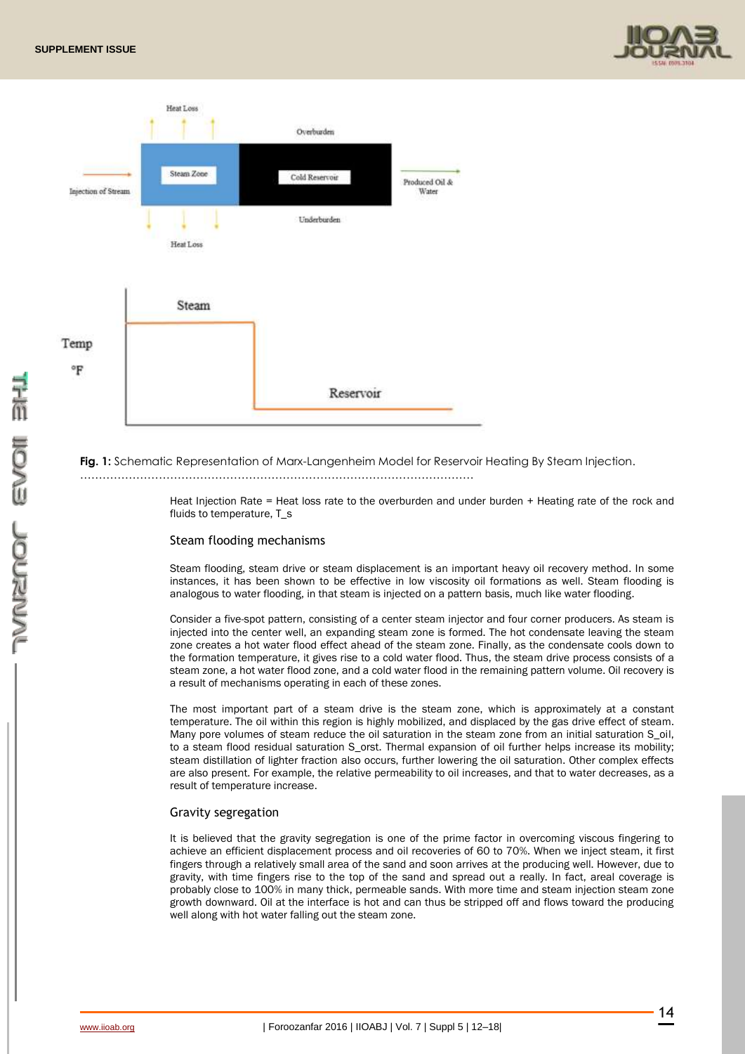



**Fig. 1:** Schematic Representation of Marx-Langenheim Model for Reservoir Heating By Steam Injection. ……………………………………………………………………………………………

> Heat Injection Rate = Heat loss rate to the overburden and under burden + Heating rate of the rock and fluids to temperature. T\_s

#### Steam flooding mechanisms

Steam flooding, steam drive or steam displacement is an important heavy oil recovery method. In some instances, it has been shown to be effective in low viscosity oil formations as well. Steam flooding is analogous to water flooding, in that steam is injected on a pattern basis, much like water flooding.

Consider a five-spot pattern, consisting of a center steam injector and four corner producers. As steam is injected into the center well, an expanding steam zone is formed. The hot condensate leaving the steam zone creates a hot water flood effect ahead of the steam zone. Finally, as the condensate cools down to the formation temperature, it gives rise to a cold water flood. Thus, the steam drive process consists of a steam zone, a hot water flood zone, and a cold water flood in the remaining pattern volume. Oil recovery is a result of mechanisms operating in each of these zones.

The most important part of a steam drive is the steam zone, which is approximately at a constant temperature. The oil within this region is highly mobilized, and displaced by the gas drive effect of steam. Many pore volumes of steam reduce the oil saturation in the steam zone from an initial saturation S\_oil, to a steam flood residual saturation S\_orst. Thermal expansion of oil further helps increase its mobility; steam distillation of lighter fraction also occurs, further lowering the oil saturation. Other complex effects are also present. For example, the relative permeability to oil increases, and that to water decreases, as a result of temperature increase.

#### Gravity segregation

It is believed that the gravity segregation is one of the prime factor in overcoming viscous fingering to achieve an efficient displacement process and oil recoveries of 60 to 70%. When we inject steam, it first fingers through a relatively small area of the sand and soon arrives at the producing well. However, due to gravity, with time fingers rise to the top of the sand and spread out a really. In fact, areal coverage is probably close to 100% in many thick, permeable sands. With more time and steam injection steam zone growth downward. Oil at the interface is hot and can thus be stripped off and flows toward the producing well along with hot water falling out the steam zone.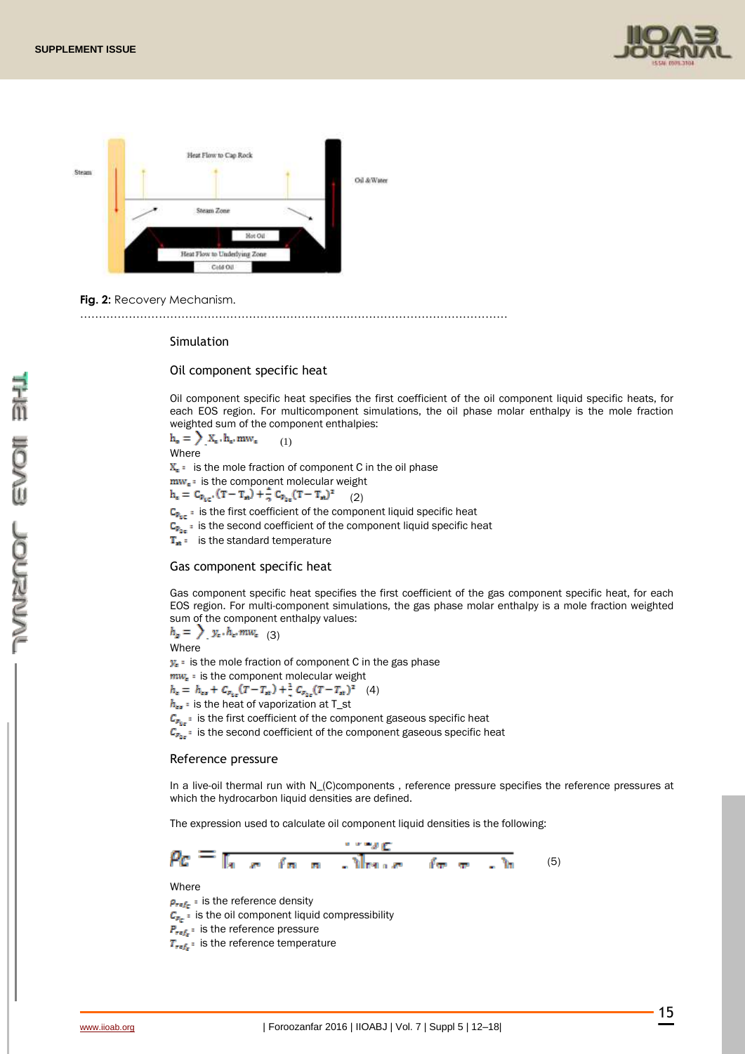



**Fig. 2:** Recovery Mechanism.

……………………………………………………………………………………………………

#### Simulation

Oil component specific heat

Oil component specific heat specifies the first coefficient of the oil component liquid specific heats, for each EOS region. For multicomponent simulations, the oil phase molar enthalpy is the mole fraction weighted sum of the component enthalpies:

 $h_e = \sum X_e \cdot h_e \cdot m w_e$  (1) Where  $X<sub>i</sub>$  is the mole fraction of component C in the oil phase  $mw_{e}:$  is the component molecular weight  $h_c = C_{P_{ac}}(T - T_{ab}) + \frac{2}{2} C_{P_{ac}}(T - T_{ab})^2$ (2)  $C_{\mathbf{P}_{\text{eff}}}$ : is the first coefficient of the component liquid specific heat  $C_{p_{0}}$ : is the second coefficient of the component liquid specific heat  $T_{\rm at}$ : is the standard temperature

### Gas component specific heat

Gas component specific heat specifies the first coefficient of the gas component specific heat, for each EOS region. For multi-component simulations, the gas phase molar enthalpy is a mole fraction weighted sum of the component enthalpy values:

 $h_{\rm g} = \sum_{\rm g} y_{\rm e} \cdot h_{\rm e} \cdot m w_{\rm e}$  (3) **Where** 

 $y_{\epsilon}$  is the mole fraction of component C in the gas phase

 $mw_{e}$ : is the component molecular weight  $h_c = h_{cs} + C_{p_{sc}}(T - T_{st}) + \frac{1}{s} C_{p_{sc}}(T - T_{st})^2$  (4)  $h_{\epsilon_1}$  is the heat of vaporization at T\_st  $C_{P_{1e}}$ : is the first coefficient of the component gaseous specific heat

 $C_{\mathbf{F}_{2n}}$ : is the second coefficient of the component gaseous specific heat

#### Reference pressure

In a live-oil thermal run with N\_(C)components , reference pressure specifies the reference pressures at which the hydrocarbon liquid densities are defined.

The expression used to calculate oil component liquid densities is the following:

$$
\rho_C = \frac{\mu_{C}}{[\mu_{C} - (\mu_{C} - \mu_{C})]_{\text{Bulge}} - (\mu_{C} - \mu_{C})_{\text{Bulge}}}
$$
(5)

Where

 $\rho_{ref_c}$  : is the reference density  $C_{\mathbb{F}_p}$ : is the oil component liquid compressibility

 $P_{ref_e}:$  is the reference pressure

 $T_{ref_s}:$  is the reference temperature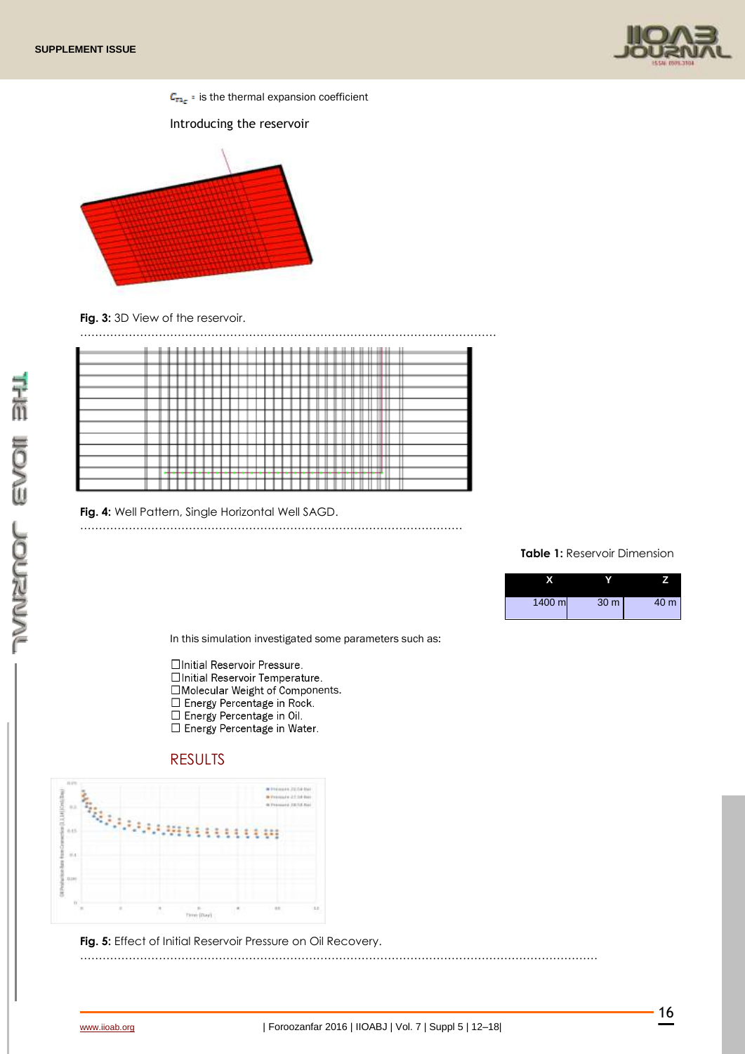

 $C_{\text{TL}}$ : is the thermal expansion coefficient

#### Introducing the reservoir



Fig. 3: 3D View of the reservoir.



**Fig. 4:** Well Pattern, Single Horizontal Well SAGD.

…………………………………………………………………………………………

#### **Table 1:** Reservoir Dimension



In this simulation investigated some parameters such as:

- □Initial Reservoir Pressure.
- □Initial Reservoir Temperature.
- $\begin{array}{l} \square \text{ Molecular Weight of Components.} \\ \square \text{ Energy Percentage in Rock.} \\ \square \text{ Energy Percentage in Oil.} \\ \square \text{ Energy Percentage in Water.} \end{array}$
- 
- 
- 

# RESULTS



**Fig. 5:** Effect of Initial Reservoir Pressure on Oil Recovery.

**NAMENOL EVOIL BILL** 

…………………………………………………………………………………………………………………………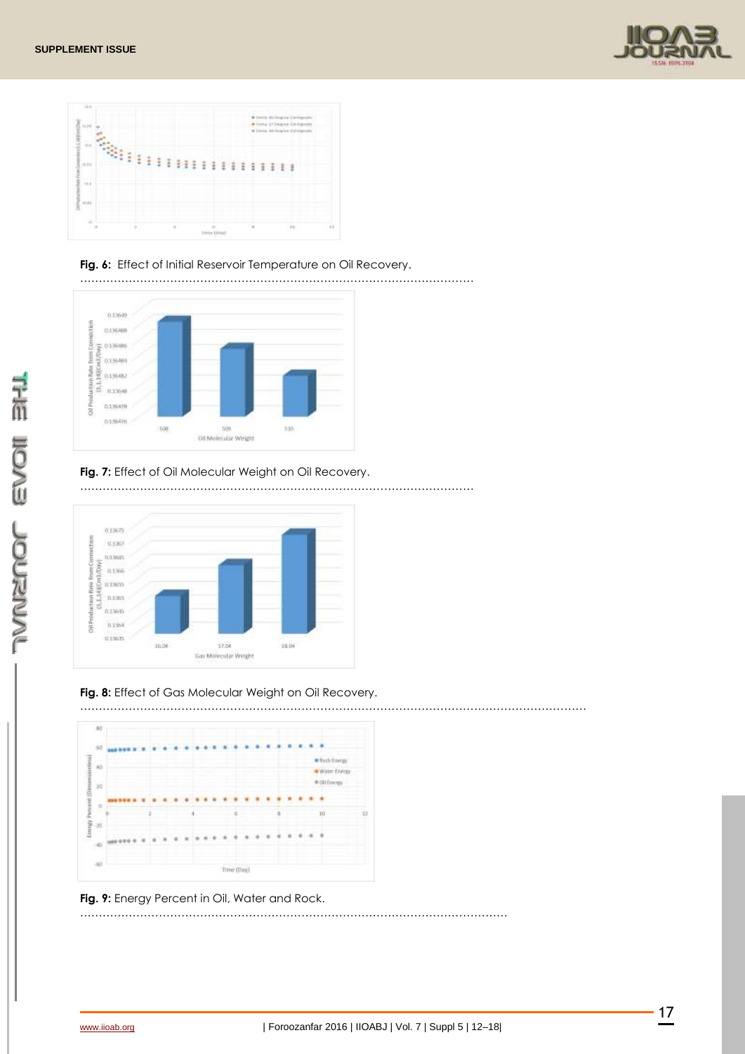



### Fig. 6: Effect of Initial Reservoir Temperature on Oil Recovery.

……………………………………………………………………………………………



## **Fig. 7:** Effect of Oil Molecular Weight on Oil Recovery.



#### **Fig. 8:** Effect of Gas Molecular Weight on Oil Recovery.



……………………………………………………………………………………………………



#### **Fig. 9:** Energy Percent in Oil, Water and Rock.

File None DOCNEVE